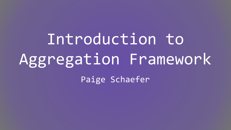Introduction to Aggregation Framework Paige Schaefer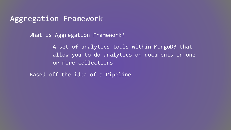### Aggregation Framework

What is Aggregation Framework?

A set of analytics tools within MongoDB that allow you to do analytics on documents in one or more collections

Based off the idea of a Pipeline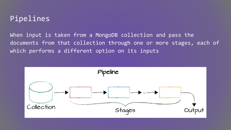## Pipelines

When input is taken from a MongoDB collection and pass the documents from that collection through one or more stages, each of which performs a different option on its inputs

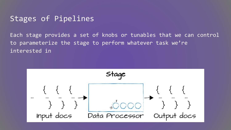### Stages of Pipelines

Each stage provides a set of knobs or tunables that we can control to parameterize the stage to perform whatever task we're interested in

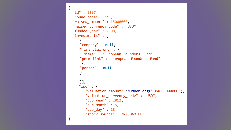```
 "id" : 2197,
 "round_code" : "c",
 "raised_amount" : 15000000,
 "raised_currency_code" : "USD",
 "funded_year" : 2008,
 "investments" : [
    {
    "company" : null, 
    "financial_org" : {
      "name" : "European Founders Fund",
    "permalink" : "european-founders-fund"
     },
    "person" : null 
    }
    \mathbf{I}}],
    "ipo" : {
      "valuation amount" :NumberLong("104000000000"),
      "valuation currency code" : "USD",
       "pub_year" : 2012,
      "pub month" : 5,
       "pub_day" : 18,
       "stock_symbol" : "NASDAQ:FB"
```
{

}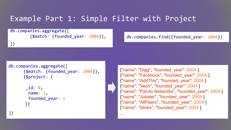## Example Part 1: Simple Filter with Project

…

db.companies.aggregate([ {\$match: {founded\_year: 2004}},

db.companies.find({founded\_year: 2004})

])

```
db.companies.aggregate([
       {$match: {founded_year: 2004}},
       {$project: {
```

```
 _id: 0,
  name: 1,
  founded_year: 1
 }}
```
{"name": "Digg", "founded\_year": 2004 } {"name": "Facebook", "founded\_year": 2004 } {"name": "AddThis", "founded\_year": 2004 } {"name": "Veoh", "founded\_year": 2004 } {"name": "Pando Networks", "founded\_year": 2004 } {"name": "Jobster", "founded\_year": 2004 } {"name": "AllPeers", "founded\_year": 2004 } {"name": "blinkx", "founded\_year": 2004 }

])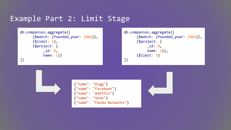## Example Part 2: Limit Stage

```
db.companies.aggregate([
       {$match: {founded_year: 2004}},
       {$limit: 5},
       {$project: {
           _id: 0,
           name: 1}} 
])
```

```
db.companies.aggregate([
       {$match: {founded_year: 2004}},
       {$project: {
           _id: 0,
            name: 1}},
       {$limit: 5}
])
```
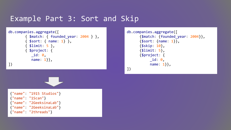### Example Part 3: Sort and Skip

```
db.companies.aggregate([
         { $match: { founded_year: 2004 } },
         { $sort: { name: 1} },
         { $limit: 5 },
         { $project: {
           _id: 0,
           name: 1}}, 
])
```

```
db.companies.aggregate([
       {$match: {founded_year: 2004}},
       {$sort: {name: 1}},
       {$skip: 10},
       {$limit: 5},
       {$project: {
           _id: 0,
           name: 1}}, 
])
```

```
{"name": "1915 Studios"}
{"name": "1Scan"}
{"name": "2GeeksinaLab"}
{"name": "2GeeksinaLab"}
{"name": "2threads"}
```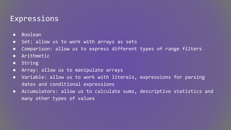### Expressions

- Boolean
- Set: allow us to work with arrays as sets
- Comparison: allow us to express different types of range filters
- Arithmetic
- String
- Array: allow us to manipulate arrays
- Variable: allow us to work with literals, expressions for parsing dates and conditional expressions
- Accumulators: allow us to calculate sums, descriptive statistics and many other types of values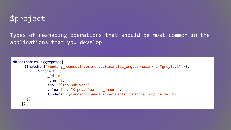# \$project

Types of reshaping operations that should be most common in the applications that you develop

```
db.companies.aggregate([
     {$match: {"funding_rounds.investments.financial_org.permalink": "greylock" }},
            {$project: {
                \_id: 0, name: 1,
                  ipo: "$ipo.pub_year",
                valuation: "$ipo.valuation amount",
                funders: "$funding rounds.investments.financial org.permalink"
       }}
     ])
```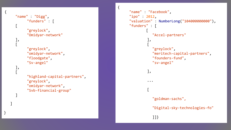```
"name" : "Digg"
,
 "funders" : 
[
    \Gamma "greylock"
,
         "Omidyar-network"
    ], [
 "greylock"
,
 "omidyar-network"
,
 "floodgate"
,
         "Sv-angel"
```
{

], [

 $\mathbf{I}$ 

 $\blacksquare$ 

}

```
 "highland-capital-partners"
,
 "greylock"
,
 "omidyar-network"
,
         "Svb-financial-group"
```

```
"name" : "Facebook"
,
"ipo" : 2012
,
"valuation" : NumberLong
("104000000000"),
"funders" : 
[
\blacksquare "Accel-partners"
      ], 
     \Box "greylock"
,
 "meritech-capital-partners"
,
 "founders-fund"
,
           "sv-angel"
         ], 
         ... 
     \Box"goldman-sachs",
          "Digital-sky-technologies-fo"
          ]]}
```
{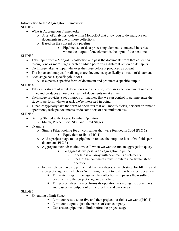Introduction to the Aggregation Framework SLIDE 2

- What is Aggregation Framework?
	- o A set of analytics tools within MongoDB that allow you to do analytics on documents in one or more collections
	- o Based on the concept of a pipeline
		- Pipeline: set of data processing elements connected in series, where the output of one element is the input of the next one

#### SLIDE 3

- Take input from a MongoDB collection and pass the documents from that collection through one or more stages, each of which performs a different option on its inputs
- Each stage takes as input whatever the stage before it produced as output
- The inputs and outputs for all stages are documents specifically a stream of documents
- Each stage has a specific job it does
	- o It expects a specific form of document and produces a specific output

#### SLIDE 4

- Takes in a stream of input documents one at a time, processes each document one at a time, and produces an output stream of documents on at a time
- Each stage provides a set of knobs or tunables, that we can control to parameterize the stage to perform whatever task we're interested in doing
- Tunables typically take the form of operators that will modify fields, perform arithmetic operations, reshape documents or do some sort of accumulation task

#### SLIDE 6

- Getting Started with Stages: Familiar Operators
	- o Match, Project, Sort, Skip and Limit Stages
- Example
	- o Simple Filter looking for all companies that were founded in 2004 **(PIC 1)**
		- Equivalent to find **(PIC 2)**
	- o Add a project stage to our pipeline to reduce the output to just a few fields per document **(PIC 3)**
	- o Aggregate method: method we call when we want to run an aggregation query
		- To aggregate we pass in an aggregation pipeline
			- o Pipeline is an array with documents as elements
			- o Each of the documents must stipulate a particular stage operator
	- o In example we have a pipeline that has two stages: a match stage for filtering and a project stage with which we're limiting the out to just two fields per document
		- The match stage filters against the collection and passes the resulting documents to the project stage one at a time
		- The project stage then performs its operation, reshaping the documents and passes the output out of the pipeline and back to us

#### SLIDE 7

- Extending a limit Stage
	- Limit our result set to five and then project out fields we want **(PIC 1)**
	- Limit our output to just the names of each company
	- Constructed pipeline to limit before the project stage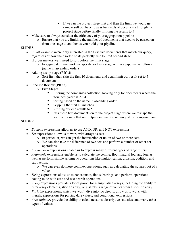- If we ran the project stage first and then the limit we would get same result but have to pass hundreds of documents through the project stage before finally limiting the results to 5
- Make sure to always consider the efficiency of your aggregation pipeline
	- o Ensure that you are limiting the number of documents that need to be passed on from one stage to another as you build your pipeline

#### SLIDE 8

- In last example we're only interested in the first five documents that match our query, regardless of how their sorted so its perfectly fine to limit second stage
- If order matters we'll need to sort before the limit stage
	- o In aggregate framework we specify sort as a stage within a pipeline as follows (name in ascending order)
- Adding a skip stage **(PIC 2)**
	- o Sort first, then skip the first 10 documents and again limit our result set to 5 documents
- Pipeline Review **(PIC 2)**
	- o Five Stages
		- Filtering the companies collection, looking only for documents where the "founded year" is 2004
		- Sorting based on the name in ascending order
		- Skipping the first 10 matches
		- Limiting our end results to 5
		- Pass those five documents on to the project stage where we reshape the documents such that our output documents contain just the company name

#### SLIDE 9

- *Boolean* expressions allow us to use AND, OR, and NOT expressions.
- *Set* expressions allow us to work with arrays as sets.
	- o In particular, we can get the intersection or union of two or more sets.
	- o We can also take the difference of two sets and perform a number of other set operations.
- *Comparison* expressions enable us to express many different types of range filters.
- *Arithmetic* expressions enable us to calculate the ceiling, floor, natural log, and log, as well as perform simple arithmetic operations like multiplication, division, addition, and subtraction.
	- o We can even do more complex operations, such as calculating the square root of a value.
- *String expressions allow us to concatenate, find substrings, and perform operations* having to do with case and text search operations.
- *Array* expressions provide a lot of power for manipulating arrays, including the ability to filter array elements, slice an array, or just take a range of values from a specific array.
- *Variable* expressions, which we won't dive into too deeply, allow us to work with literals, expressions for parsing date values, and conditional expressions.
- *Accumulators* provide the ability to calculate sums, descriptive statistics, and many other types of values.